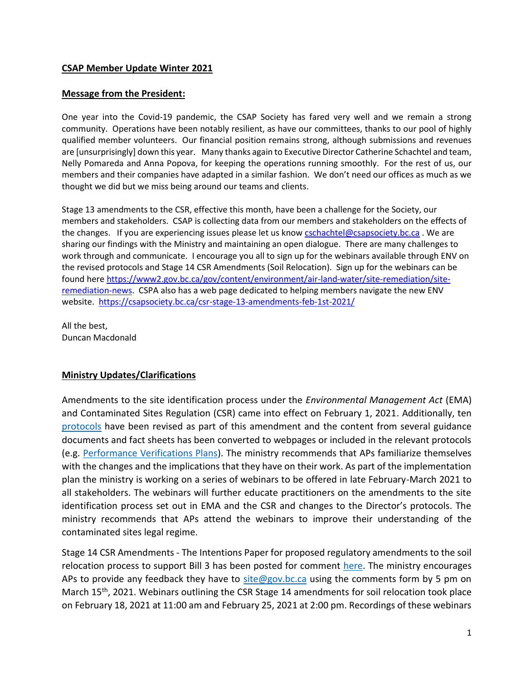#### **CSAP Member Update Winter 2021**

#### **Message from the President:**

One year into the Covid-19 pandemic, the CSAP Society has fared very well and we remain a strong community. Operations have been notably resilient, as have our committees, thanks to our pool of highly qualified member volunteers. Our financial position remains strong, although submissions and revenues are [unsurprisingly] down this year. Many thanks again to Executive Director Catherine Schachtel and team, Nelly Pomareda and Anna Popova, for keeping the operations running smoothly. For the rest of us, our members and their companies have adapted in a similar fashion. We don't need our offices as much as we thought we did but we miss being around our teams and clients.

Stage 13 amendments to the CSR, effective this month, have been a challenge for the Society, our members and stakeholders. CSAP is collecting data from our members and stakeholders on the effects of the changes. If you are experiencing issues please let us kno[w cschachtel@csapsociety.bc.ca](mailto:cschachtel@csapsociety.bc.ca). We are sharing our findings with the Ministry and maintaining an open dialogue. There are many challenges to work through and communicate. I encourage you all to sign up for the webinars available through ENV on the revised protocols and Stage 14 CSR Amendments (Soil Relocation). Sign up for the webinars can be found here [https://www2.gov.bc.ca/gov/content/environment/air-land-water/site-remediation/site](https://can01.safelinks.protection.outlook.com/?url=https%3A%2F%2Fwww2.gov.bc.ca%2Fgov%2Fcontent%2Fenvironment%2Fair-land-water%2Fsite-remediation%2Fsite-remediation-news&data=04%7C01%7Cdmacdonald%40pggroup.com%7C4a22454c011e456e826508d8da726858%7C8f5bec39eb564dfab5baafc6a2ec7424%7C0%7C0%7C637499532226334950%7CUnknown%7CTWFpbGZsb3d8eyJWIjoiMC4wLjAwMDAiLCJQIjoiV2luMzIiLCJBTiI6Ik1haWwiLCJXVCI6Mn0%3D%7C1000&sdata=GguuRktvKUvXomFaemKAvCANqQft97XXx42GK3WFalA%3D&reserved=0)[remediation-news.](https://can01.safelinks.protection.outlook.com/?url=https%3A%2F%2Fwww2.gov.bc.ca%2Fgov%2Fcontent%2Fenvironment%2Fair-land-water%2Fsite-remediation%2Fsite-remediation-news&data=04%7C01%7Cdmacdonald%40pggroup.com%7C4a22454c011e456e826508d8da726858%7C8f5bec39eb564dfab5baafc6a2ec7424%7C0%7C0%7C637499532226334950%7CUnknown%7CTWFpbGZsb3d8eyJWIjoiMC4wLjAwMDAiLCJQIjoiV2luMzIiLCJBTiI6Ik1haWwiLCJXVCI6Mn0%3D%7C1000&sdata=GguuRktvKUvXomFaemKAvCANqQft97XXx42GK3WFalA%3D&reserved=0) CSPA also has a web page dedicated to helping members navigate the new ENV website. <https://csapsociety.bc.ca/csr-stage-13-amendments-feb-1st-2021/>

All the best, Duncan Macdonald

#### **Ministry Updates/Clarifications**

Amendments to the site identification process under the *Environmental Management Act* (EMA) and Contaminated Sites Regulation (CSR) came into effect on February 1, 2021. Additionally, ten [protocols](https://www2.gov.bc.ca/gov/content?id=9A8B9BE814A1471F86EF4CA87BCE0CE2) have been revised as part of this amendment and the content from several guidance documents and fact sheets has been converted to webpages or included in the relevant protocols (e.g. [Performance Verifications Plans\)](https://www2.gov.bc.ca/gov/content?id=7396B2C21886408FA258F31F118F7BAE). The ministry recommends that APs familiarize themselves with the changes and the implications that they have on their work. As part of the implementation plan the ministry is working on a series of webinars to be offered in late February-March 2021 to all stakeholders. The webinars will further educate practitioners on the amendments to the site identification process set out in EMA and the CSR and changes to the Director's protocols. The ministry recommends that APs attend the webinars to improve their understanding of the contaminated sites legal regime.

Stage 14 CSR Amendments - The Intentions Paper for proposed regulatory amendments to the soil relocation process to support Bill 3 has been posted for comment [here.](https://www2.gov.bc.ca/gov/content?id=6D2D868F9C024113B1D471578F7690D3) The ministry encourages APs to provide any feedback they have to  $\frac{\text{site}Q}{\text{gov.bc.ca}}$  using the comments form by 5 pm on March 15<sup>th</sup>, 2021. Webinars outlining the CSR Stage 14 amendments for soil relocation took place on February 18, 2021 at 11:00 am and February 25, 2021 at 2:00 pm. Recordings of these webinars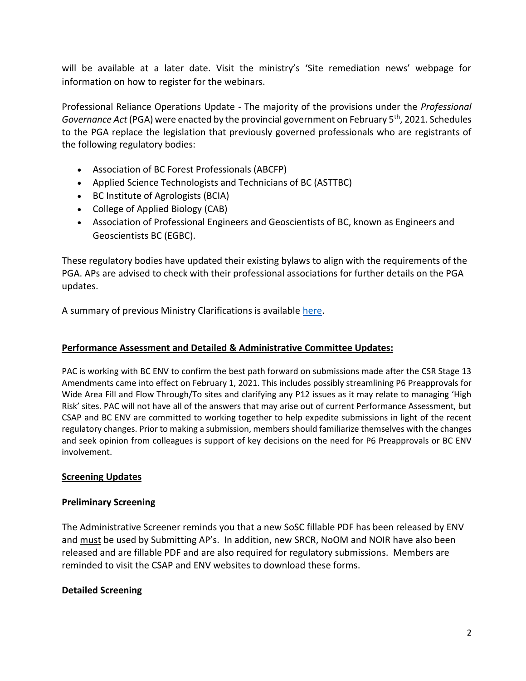will be available at a later date. Visit the ministry's 'Site remediation news' webpage for information on how to register for the webinars.

Professional Reliance Operations Update - The majority of the provisions under the *Professional Governance Act* (PGA) were enacted by the provincial government on February 5th, 2021. Schedules to the PGA replace the legislation that previously governed professionals who are registrants of the following regulatory bodies:

- Association of BC Forest Professionals (ABCFP)
- Applied Science Technologists and Technicians of BC (ASTTBC)
- BC Institute of Agrologists (BCIA)
- College of Applied Biology (CAB)
- Association of Professional Engineers and Geoscientists of BC, known as Engineers and Geoscientists BC (EGBC).

These regulatory bodies have updated their existing bylaws to align with the requirements of the PGA. APs are advised to check with their professional associations for further details on the PGA updates.

A summary of previous Ministry Clarifications is available [here.](https://csapsociety.bc.ca/wp-content/uploads/Ministry-Updates-Fall-2020-to-Summer-2012.pdf)

#### **Performance Assessment and Detailed & Administrative Committee Updates:**

PAC is working with BC ENV to confirm the best path forward on submissions made after the CSR Stage 13 Amendments came into effect on February 1, 2021. This includes possibly streamlining P6 Preapprovals for Wide Area Fill and Flow Through/To sites and clarifying any P12 issues as it may relate to managing 'High Risk' sites. PAC will not have all of the answers that may arise out of current Performance Assessment, but CSAP and BC ENV are committed to working together to help expedite submissions in light of the recent regulatory changes. Prior to making a submission, members should familiarize themselves with the changes and seek opinion from colleagues is support of key decisions on the need for P6 Preapprovals or BC ENV involvement.

#### **Screening Updates**

#### **Preliminary Screening**

The Administrative Screener reminds you that a new SoSC fillable PDF has been released by ENV and must be used by Submitting AP's. In addition, new SRCR, NoOM and NOIR have also been released and are fillable PDF and are also required for regulatory submissions. Members are reminded to visit the CSAP and ENV websites to download these forms.

#### **Detailed Screening**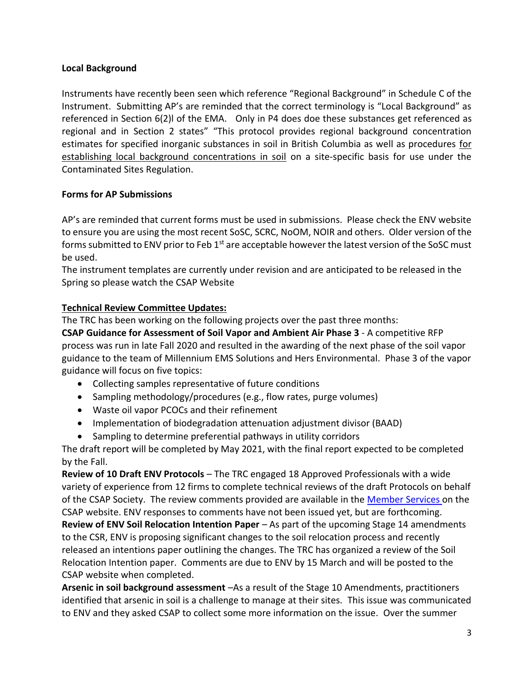### **Local Background**

Instruments have recently been seen which reference "Regional Background" in Schedule C of the Instrument. Submitting AP's are reminded that the correct terminology is "Local Background" as referenced in Section 6(2)l of the EMA. Only in P4 does doe these substances get referenced as regional and in Section 2 states" "This protocol provides regional background concentration estimates for specified inorganic substances in soil in British Columbia as well as procedures for establishing local background concentrations in soil on a site-specific basis for use under the Contaminated Sites Regulation.

### **Forms for AP Submissions**

AP's are reminded that current forms must be used in submissions. Please check the ENV website to ensure you are using the most recent SoSC, SCRC, NoOM, NOIR and others. Older version of the forms submitted to ENV prior to Feb 1<sup>st</sup> are acceptable however the latest version of the SoSC must be used.

The instrument templates are currently under revision and are anticipated to be released in the Spring so please watch the CSAP Website

## **Technical Review Committee Updates:**

The TRC has been working on the following projects over the past three months:

**CSAP Guidance for Assessment of Soil Vapor and Ambient Air Phase 3** - A competitive RFP process was run in late Fall 2020 and resulted in the awarding of the next phase of the soil vapor guidance to the team of Millennium EMS Solutions and Hers Environmental. Phase 3 of the vapor guidance will focus on five topics:

- Collecting samples representative of future conditions
- Sampling methodology/procedures (e.g., flow rates, purge volumes)
- Waste oil vapor PCOCs and their refinement
- Implementation of biodegradation attenuation adjustment divisor (BAAD)
- Sampling to determine preferential pathways in utility corridors

The draft report will be completed by May 2021, with the final report expected to be completed by the Fall.

**Review of 10 Draft ENV Protocols** – The TRC engaged 18 Approved Professionals with a wide variety of experience from 12 firms to complete technical reviews of the draft Protocols on behalf of the CSAP Society. The review comments provided are available in the [Member Services](https://can01.safelinks.protection.outlook.com/?url=https%3A%2F%2Fwww.csapsubmissions.com%2F&data=04%7C01%7CChristine_Thomas%40golder.com%7C81ee319611764daba64b08d8b8a9f25c%7C46b66e8634824192842f3472ff5fe764%7C1%7C0%7C637462387343941371%7CUnknown%7CTWFpbGZsb3d8eyJWIjoiMC4wLjAwMDAiLCJQIjoiV2luMzIiLCJBTiI6Ik1haWwiLCJXVCI6Mn0%3D%7C2000&sdata=F7aF60IfssGVLpcTH82bT6e%2Boi3XtPmmF8QlwP9t8do%3D&reserved=0) on the CSAP website. ENV responses to comments have not been issued yet, but are forthcoming.

**Review of ENV Soil Relocation Intention Paper** – As part of the upcoming Stage 14 amendments to the CSR, ENV is proposing significant changes to the soil relocation process and recently released an intentions paper outlining the changes. The TRC has organized a review of the Soil Relocation Intention paper. Comments are due to ENV by 15 March and will be posted to the CSAP website when completed.

**Arsenic in soil background assessment** –As a result of the Stage 10 Amendments, practitioners identified that arsenic in soil is a challenge to manage at their sites. This issue was communicated to ENV and they asked CSAP to collect some more information on the issue. Over the summer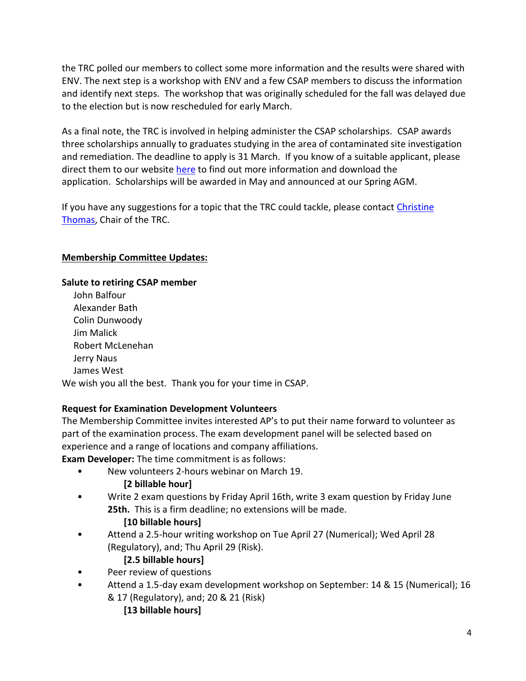the TRC polled our members to collect some more information and the results were shared with ENV. The next step is a workshop with ENV and a few CSAP members to discuss the information and identify next steps. The workshop that was originally scheduled for the fall was delayed due to the election but is now rescheduled for early March.

As a final note, the TRC is involved in helping administer the CSAP scholarships. CSAP awards three scholarships annually to graduates studying in the area of contaminated site investigation and remediation. The deadline to apply is 31 March. If you know of a suitable applicant, please direct them to our website [here](https://csapsociety.bc.ca/about/scholarships/) to find out more information and download the application. Scholarships will be awarded in May and announced at our Spring AGM.

If you have any suggestions for a topic that the TRC could tackle, please contact Christine [Thomas,](mailto:christine_thomas@golder.com) Chair of the TRC.

## **Membership Committee Updates:**

### **Salute to retiring CSAP member**

John Balfour Alexander Bath Colin Dunwoody Jim Malick Robert McLenehan Jerry Naus James West We wish you all the best. Thank you for your time in CSAP.

### **Request for Examination Development Volunteers**

The Membership Committee invites interested AP's to put their name forward to volunteer as part of the examination process. The exam development panel will be selected based on experience and a range of locations and company affiliations.

**Exam Developer:** The time commitment is as follows:

• New volunteers 2-hours webinar on March 19.

### **[2 billable hour]**

• Write 2 exam questions by Friday April 16th, write 3 exam question by Friday June **25th.** This is a firm deadline; no extensions will be made.

### **[10 billable hours]**

• Attend a 2.5-hour writing workshop on Tue April 27 (Numerical); Wed April 28 (Regulatory), and; Thu April 29 (Risk).

## **[2.5 billable hours]**

- Peer review of questions
- Attend a 1.5-day exam development workshop on September: 14 & 15 (Numerical); 16 & 17 (Regulatory), and; 20 & 21 (Risk)
	- **[13 billable hours]**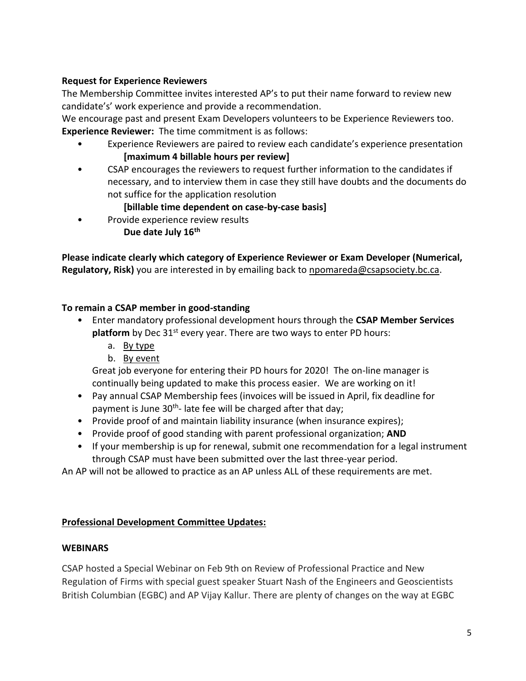### **Request for Experience Reviewers**

The Membership Committee invites interested AP's to put their name forward to review new candidate's' work experience and provide a recommendation.

We encourage past and present Exam Developers volunteers to be Experience Reviewers too. **Experience Reviewer:** The time commitment is as follows:

- Experience Reviewers are paired to review each candidate's experience presentation **[maximum 4 billable hours per review]**
- CSAP encourages the reviewers to request further information to the candidates if necessary, and to interview them in case they still have doubts and the documents do not suffice for the application resolution

## **[billable time dependent on case-by-case basis]**

• Provide experience review results **Due date July 16th**

**Please indicate clearly which category of Experience Reviewer or Exam Developer (Numerical, Regulatory, Risk)** you are interested in by emailing back to [npomareda@csapsociety.bc.ca.](mailto:npomareda@csapsociety.bc.ca)

### **To remain a CSAP member in good-standing**

- Enter mandatory professional development hours through the **CSAP Member Services platform** by Dec 31<sup>st</sup> every year. There are two ways to enter PD hours:
	- a. [By type](https://urldefense.proofpoint.com/v2/url?u=http-3A__csapsociety.bc.ca_wp-2Dcontent_uploads_CSAP-2DPD-2DHours-2DReport-2Dtwo-2Dways-2Dto-2Dreport-5Ftype.pdf&d=DwMFAg&c=ukT25UmkSFgENae3bmQPWw&r=-bMaZSORcXlCCxFC6lQUwlIlltBMph2b4mG3HlzUNa48h0FYQcd9YFIKm7ZUoA4Q&m=A1Iftlm_nJR4-uxDNxfL192nEf_e7qvd7gu8hIUCQb8&s=wTBfmhICehtdaEu3IMBX9Hdtt0QA9jy-kx_lezqQUtI&e=)
	- b. [By event](https://urldefense.proofpoint.com/v2/url?u=http-3A__csapsociety.bc.ca_wp-2Dcontent_uploads_CSAP-2DPD-2DHours-2DReport-2Dtwo-2Dways-2Dto-2Dreport-5Fevent.pdf&d=DwMFAg&c=ukT25UmkSFgENae3bmQPWw&r=-bMaZSORcXlCCxFC6lQUwlIlltBMph2b4mG3HlzUNa48h0FYQcd9YFIKm7ZUoA4Q&m=A1Iftlm_nJR4-uxDNxfL192nEf_e7qvd7gu8hIUCQb8&s=0WLtjV-7urPsDSMRfCMaOtY5jiF2PTlzIOfWH_TPZVw&e=)

Great job everyone for entering their PD hours for 2020! The on-line manager is continually being updated to make this process easier. We are working on it!

- Pay annual CSAP Membership fees (invoices will be issued in April, fix deadline for payment is June 30<sup>th</sup>- late fee will be charged after that day;
- Provide proof of and maintain liability insurance (when insurance expires);
- Provide proof of good standing with parent professional organization; **AND**
- If your membership is up for renewal, submit one recommendation for a legal instrument through CSAP must have been submitted over the last three-year period.

An AP will not be allowed to practice as an AP unless ALL of these requirements are met.

### **Professional Development Committee Updates:**

### **WEBINARS**

CSAP hosted a Special Webinar on Feb 9th on Review of Professional Practice and New Regulation of Firms with special guest speaker Stuart Nash of the Engineers and Geoscientists British Columbian (EGBC) and AP Vijay Kallur. There are plenty of changes on the way at EGBC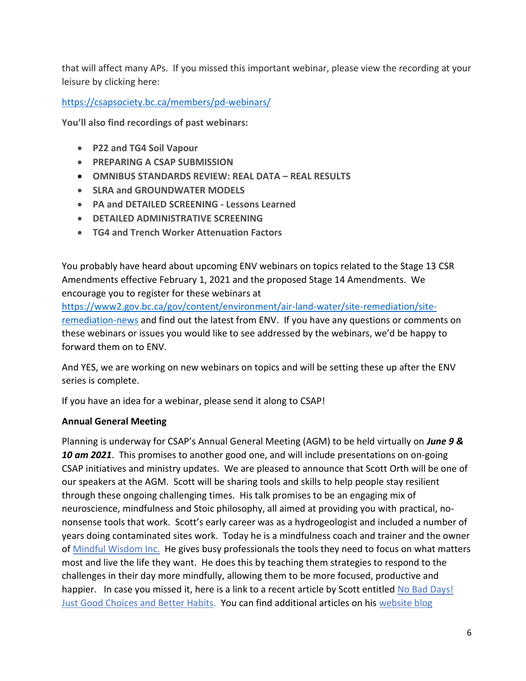that will affect many APs. If you missed this important webinar, please view the recording at your leisure by clicking here:

<https://csapsociety.bc.ca/members/pd-webinars/>

**You'll also find recordings of past webinars:**

- **P22 and TG4 Soil Vapour**
- **PREPARING A CSAP SUBMISSION**
- **OMNIBUS STANDARDS REVIEW: REAL DATA – REAL RESULTS**
- **SLRA and GROUNDWATER MODELS**
- **PA and DETAILED SCREENING - Lessons Learned**
- **DETAILED ADMINISTRATIVE SCREENING**
- **TG4 and Trench Worker Attenuation Factors**

You probably have heard about upcoming ENV webinars on topics related to the Stage 13 CSR Amendments effective February 1, 2021 and the proposed Stage 14 Amendments. We encourage you to register for these webinars at

[https://www2.gov.bc.ca/gov/content/environment/air-land-water/site-remediation/site](https://www2.gov.bc.ca/gov/content/environment/air-land-water/site-remediation/site-remediation-news)[remediation-news](https://www2.gov.bc.ca/gov/content/environment/air-land-water/site-remediation/site-remediation-news) and find out the latest from ENV. If you have any questions or comments on these webinars or issues you would like to see addressed by the webinars, we'd be happy to forward them on to ENV.

And YES, we are working on new webinars on topics and will be setting these up after the ENV series is complete.

If you have an idea for a webinar, please send it along to CSAP!

### **Annual General Meeting**

Planning is underway for CSAP's Annual General Meeting (AGM) to be held virtually on *June 9 & 10 am 2021*. This promises to another good one, and will include presentations on on-going CSAP initiatives and ministry updates. We are pleased to announce that Scott Orth will be one of our speakers at the AGM. Scott will be sharing tools and skills to help people stay resilient through these ongoing challenging times. His talk promises to be an engaging mix of neuroscience, mindfulness and Stoic philosophy, all aimed at providing you with practical, nononsense tools that work. Scott's early career was as a hydrogeologist and included a number of years doing contaminated sites work. Today he is a mindfulness coach and trainer and the owner of [Mindful Wisdom Inc.](http://www.mindfulwisdom.ca/) He gives busy professionals the tools they need to focus on what matters most and live the life they want. He does this by teaching them strategies to respond to the challenges in their day more mindfully, allowing them to be more focused, productive and happier. In case you missed it, here is a link to a recent article by Scott entitled No Bad Days! [Just Good Choices and Better Habits.](https://www.mindfulwisdom.ca/blog/2021/1/11/no-bad-days-just-good-choices-and-better-habits) You can find additional articles on his [website blog](https://www.mindfulwisdom.ca/blog)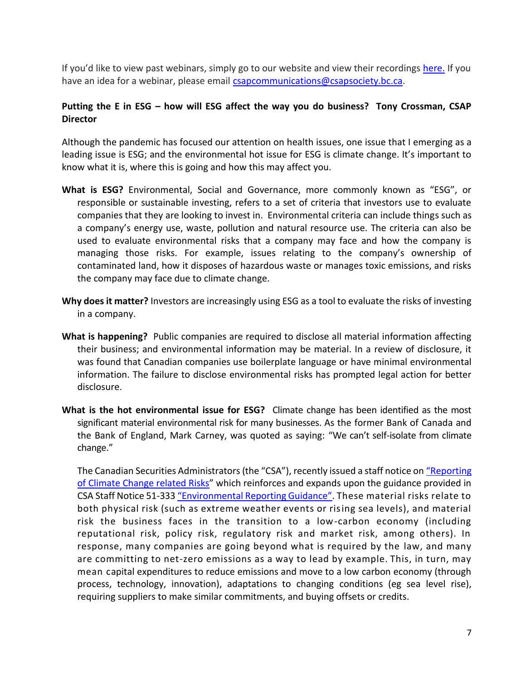If you'd like to view past webinars, simply go to our website and view their recordings [here.](https://csapsociety.bc.ca/members/pd-webinars/) If you have an idea for a webinar, please email [csapcommunications@csapsociety.bc.ca.](mailto:csapcommunications@csapsociety.bc.ca)

## **Putting the E in ESG – how will ESG affect the way you do business? Tony Crossman, CSAP Director**

Although the pandemic has focused our attention on health issues, one issue that I emerging as a leading issue is ESG; and the environmental hot issue for ESG is climate change. It's important to know what it is, where this is going and how this may affect you.

- **What is ESG?** Environmental, Social and Governance, more commonly known as "ESG", or responsible or sustainable investing, refers to a set of criteria that investors use to evaluate companies that they are looking to invest in. Environmental criteria can include things such as a company's energy use, waste, pollution and natural resource use. The criteria can also be used to evaluate environmental risks that a company may face and how the company is managing those risks. For example, issues relating to the company's ownership of contaminated land, how it disposes of hazardous waste or manages toxic emissions, and risks the company may face due to climate change.
- **Why does it matter?** Investors are increasingly using ESG as a tool to evaluate the risks of investing in a company.
- **What is happening?** Public companies are required to disclose all material information affecting their business; and environmental information may be material. In a review of disclosure, it was found that Canadian companies use boilerplate language or have minimal environmental information. The failure to disclose environmental risks has prompted legal action for better disclosure.
- **What is the hot environmental issue for ESG?** Climate change has been identified as the most significant material environmental risk for many businesses. As the former Bank of Canada and the Bank of England, Mark Carney, was quoted as saying: "We can't self-isolate from climate change."

The Canadian Securities Administrators (the "CSA"), recently issued a staff notice on "Reporting [of Climate Change related Risks](https://www.bcsc.bc.ca/Securities_Law/Policies/Policy5/PDF/51-358__CSA_Staff_Notice___August_1__2019/)" which reinforces and expands upon the guidance provided in CSA Staff Notice 51-333 ["Environmental Reporting Guidance"](https://www.bcsc.bc.ca/Securities_Law/Policies/Policy5/PDF/51-333__CSA_Staff_Notice___October_27__2010/). These material risks relate to both physical risk (such as extreme weather events or rising sea levels), and material risk the business faces in the transition to a low-carbon economy (including reputational risk, policy risk, regulatory risk and market risk, among others). In response, many companies are going beyond what is required by the law, and many are committing to net-zero emissions as a way to lead by example. This, in turn, may mean capital expenditures to reduce emissions and move to a low carbon economy (through process, technology, innovation), adaptations to changing conditions (eg sea level rise), requiring suppliers to make similar commitments, and buying offsets or credits.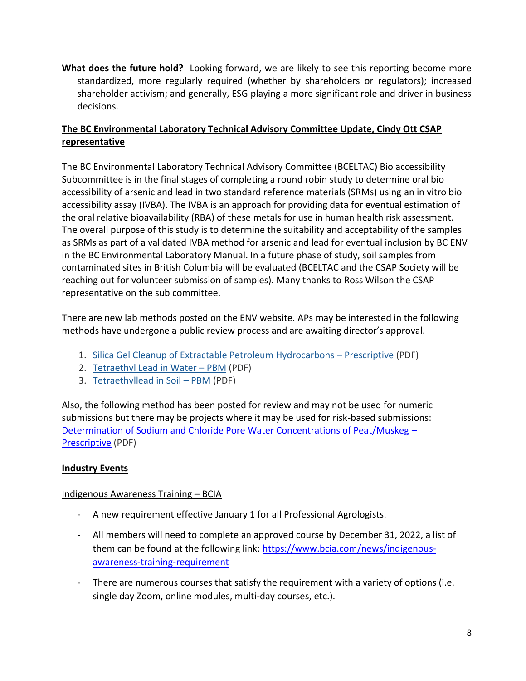**What does the future hold?** Looking forward, we are likely to see this reporting become more standardized, more regularly required (whether by shareholders or regulators); increased shareholder activism; and generally, ESG playing a more significant role and driver in business decisions.

## **The BC Environmental Laboratory Technical Advisory Committee Update, Cindy Ott CSAP representative**

The BC Environmental Laboratory Technical Advisory Committee (BCELTAC) Bio accessibility Subcommittee is in the final stages of completing a round robin study to determine oral bio accessibility of arsenic and lead in two standard reference materials (SRMs) using an in vitro bio accessibility assay (IVBA). The IVBA is an approach for providing data for eventual estimation of the oral relative bioavailability (RBA) of these metals for use in human health risk assessment. The overall purpose of this study is to determine the suitability and acceptability of the samples as SRMs as part of a validated IVBA method for arsenic and lead for eventual inclusion by BC ENV in the BC Environmental Laboratory Manual. In a future phase of study, soil samples from contaminated sites in British Columbia will be evaluated (BCELTAC and the CSAP Society will be reaching out for volunteer submission of samples). Many thanks to Ross Wilson the CSAP representative on the sub committee.

There are new lab methods posted on the ENV website. APs may be interested in the following methods have undergone a public review process and are awaiting director's approval.

- 1. [Silica Gel Cleanup of Extractable Petroleum Hydrocarbons](https://eur01.safelinks.protection.outlook.com/?url=https%3A%2F%2Fwww2.gov.bc.ca%2Fassets%2Fgov%2Fenvironment%2Fresearch-monitoring-and-reporting%2Fmonitoring%2Femre%2Fmethods%2Fsilica_gel_cleanup_of_extractable_petroleum_hydrocarbons_-_prescriptive_-_draft.pdf&data=04%7C01%7C%7C41dacc3014e24900a10a08d8d3a94f7a%7C109cec53a87742eb93e8b9f5c282ba38%7C0%7C1%7C637492071426803730%7CUnknown%7CTWFpbGZsb3d8eyJWIjoiMC4wLjAwMDAiLCJQIjoiV2luMzIiLCJBTiI6Ik1haWwiLCJXVCI6Mn0%3D%7C1000&sdata=yrh%2Beqw2K8TvtUG0heIBgUt1d%2F5PCVTtYsi5wwfjb%2FM%3D&reserved=0)  Prescriptive (PDF)
- 2. [Tetraethyl Lead in Water](https://eur01.safelinks.protection.outlook.com/?url=https%3A%2F%2Fwww2.gov.bc.ca%2Fassets%2Fgov%2Fenvironment%2Fresearch-monitoring-and-reporting%2Fmonitoring%2Femre%2Fmethods%2Ftetraethyl_lead_in_water_-_pbm_-_draft.pdf&data=04%7C01%7C%7C41dacc3014e24900a10a08d8d3a94f7a%7C109cec53a87742eb93e8b9f5c282ba38%7C0%7C1%7C637492071426813698%7CUnknown%7CTWFpbGZsb3d8eyJWIjoiMC4wLjAwMDAiLCJQIjoiV2luMzIiLCJBTiI6Ik1haWwiLCJXVCI6Mn0%3D%7C1000&sdata=0vNbZ%2BPkqM0xMR0XCV%2FVfXZXCLZ3lE8uM5Li0yQgeek%3D&reserved=0)  PBM (PDF)
- 3. [Tetraethyllead in Soil](https://eur01.safelinks.protection.outlook.com/?url=https%3A%2F%2Fwww2.gov.bc.ca%2Fassets%2Fgov%2Fenvironment%2Fresearch-monitoring-and-reporting%2Fmonitoring%2Femre%2Fmethods%2Ftetraethyllead_in_soil__pbm_-_draft.pdf&data=04%7C01%7C%7C41dacc3014e24900a10a08d8d3a94f7a%7C109cec53a87742eb93e8b9f5c282ba38%7C0%7C1%7C637492071426823647%7CUnknown%7CTWFpbGZsb3d8eyJWIjoiMC4wLjAwMDAiLCJQIjoiV2luMzIiLCJBTiI6Ik1haWwiLCJXVCI6Mn0%3D%7C1000&sdata=1jCb2ozm6EDa7itpYsZL%2FC8CqgYiBd3imTus8ikn5ko%3D&reserved=0)  PBM (PDF)

Also, the following method has been posted for review and may not be used for numeric submissions but there may be projects where it may be used for risk-based submissions: [Determination of Sodium and Chloride Pore Water Concentrations of Peat/Muskeg](https://eur01.safelinks.protection.outlook.com/?url=https%3A%2F%2Fwww2.gov.bc.ca%2Fassets%2Fgov%2Fenvironment%2Fresearch-monitoring-and-reporting%2Fmonitoring%2Femre%2Fmethods%2Fdetermination_of_na_and_cl_pore_water_concentrations_of_peat_muskeg-_prescriptive.pdf&data=04%7C01%7C%7C41dacc3014e24900a10a08d8d3a94f7a%7C109cec53a87742eb93e8b9f5c282ba38%7C0%7C1%7C637492071426823647%7CUnknown%7CTWFpbGZsb3d8eyJWIjoiMC4wLjAwMDAiLCJQIjoiV2luMzIiLCJBTiI6Ik1haWwiLCJXVCI6Mn0%3D%7C1000&sdata=sbYzC7Frieo2F1L0qeaPO%2FThceF3jupa5jQPz46F4V4%3D&reserved=0) – [Prescriptive](https://eur01.safelinks.protection.outlook.com/?url=https%3A%2F%2Fwww2.gov.bc.ca%2Fassets%2Fgov%2Fenvironment%2Fresearch-monitoring-and-reporting%2Fmonitoring%2Femre%2Fmethods%2Fdetermination_of_na_and_cl_pore_water_concentrations_of_peat_muskeg-_prescriptive.pdf&data=04%7C01%7C%7C41dacc3014e24900a10a08d8d3a94f7a%7C109cec53a87742eb93e8b9f5c282ba38%7C0%7C1%7C637492071426823647%7CUnknown%7CTWFpbGZsb3d8eyJWIjoiMC4wLjAwMDAiLCJQIjoiV2luMzIiLCJBTiI6Ik1haWwiLCJXVCI6Mn0%3D%7C1000&sdata=sbYzC7Frieo2F1L0qeaPO%2FThceF3jupa5jQPz46F4V4%3D&reserved=0) (PDF)

## **Industry Events**

### Indigenous Awareness Training – BCIA

- A new requirement effective January 1 for all Professional Agrologists.
- All members will need to complete an approved course by December 31, 2022, a list of them can be found at the following link: [https://www.bcia.com/news/indigenous](https://www.bcia.com/news/indigenous-awareness-training-requirement)[awareness-training-requirement](https://www.bcia.com/news/indigenous-awareness-training-requirement)
- There are numerous courses that satisfy the requirement with a variety of options (i.e. single day Zoom, online modules, multi-day courses, etc.).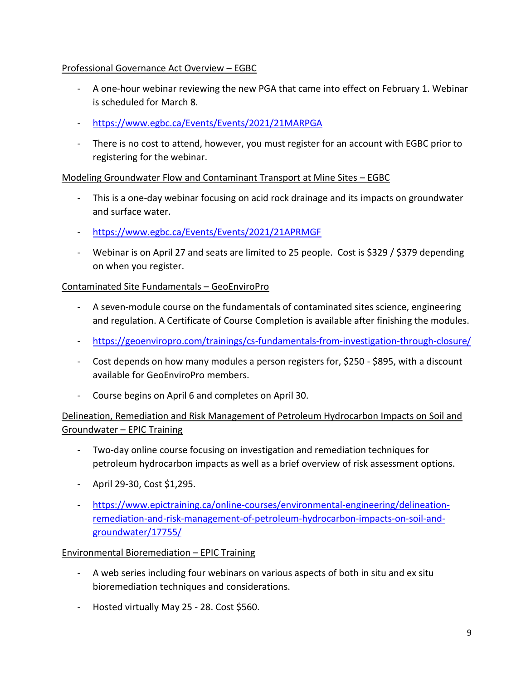## Professional Governance Act Overview – EGBC

- A one-hour webinar reviewing the new PGA that came into effect on February 1. Webinar is scheduled for March 8.
- <https://www.egbc.ca/Events/Events/2021/21MARPGA>
- There is no cost to attend, however, you must register for an account with EGBC prior to registering for the webinar.

## Modeling Groundwater Flow and Contaminant Transport at Mine Sites – EGBC

- This is a one-day webinar focusing on acid rock drainage and its impacts on groundwater and surface water.
- <https://www.egbc.ca/Events/Events/2021/21APRMGF>
- Webinar is on April 27 and seats are limited to 25 people. Cost is \$329 / \$379 depending on when you register.

## Contaminated Site Fundamentals – GeoEnviroPro

- A seven-module course on the fundamentals of contaminated sites science, engineering and regulation. A Certificate of Course Completion is available after finishing the modules.
- <https://geoenviropro.com/trainings/cs-fundamentals-from-investigation-through-closure/>
- Cost depends on how many modules a person registers for, \$250 \$895, with a discount available for GeoEnviroPro members.
- Course begins on April 6 and completes on April 30.

## Delineation, Remediation and Risk Management of Petroleum Hydrocarbon Impacts on Soil and Groundwater – EPIC Training

- Two-day online course focusing on investigation and remediation techniques for petroleum hydrocarbon impacts as well as a brief overview of risk assessment options.
- April 29-30, Cost \$1,295.
- [https://www.epictraining.ca/online-courses/environmental-engineering/delineation](https://www.epictraining.ca/online-courses/environmental-engineering/delineation-remediation-and-risk-management-of-petroleum-hydrocarbon-impacts-on-soil-and-groundwater/17755/)[remediation-and-risk-management-of-petroleum-hydrocarbon-impacts-on-soil-and](https://www.epictraining.ca/online-courses/environmental-engineering/delineation-remediation-and-risk-management-of-petroleum-hydrocarbon-impacts-on-soil-and-groundwater/17755/)[groundwater/17755/](https://www.epictraining.ca/online-courses/environmental-engineering/delineation-remediation-and-risk-management-of-petroleum-hydrocarbon-impacts-on-soil-and-groundwater/17755/)

### Environmental Bioremediation – EPIC Training

- A web series including four webinars on various aspects of both in situ and ex situ bioremediation techniques and considerations.
- Hosted virtually May 25 28. Cost \$560.